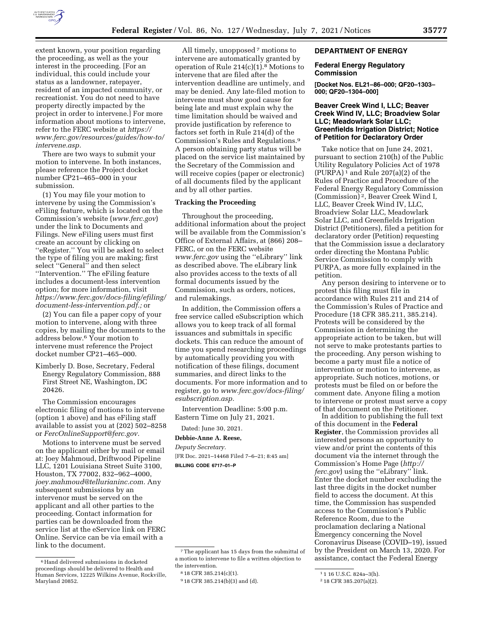

extent known, your position regarding the proceeding, as well as the your interest in the proceeding. [For an individual, this could include your status as a landowner, ratepayer, resident of an impacted community, or recreationist. You do not need to have property directly impacted by the project in order to intervene.] For more information about motions to intervene, refer to the FERC website at *[https://](https://www.ferc.gov/resources/guides/how-to/intervene.asp) [www.ferc.gov/resources/guides/how-to/](https://www.ferc.gov/resources/guides/how-to/intervene.asp) [intervene.asp.](https://www.ferc.gov/resources/guides/how-to/intervene.asp)* 

There are two ways to submit your motion to intervene. In both instances, please reference the Project docket number CP21–465–000 in your submission.

(1) You may file your motion to intervene by using the Commission's eFiling feature, which is located on the Commission's website (*[www.ferc.gov](http://www.ferc.gov)*) under the link to Documents and Filings. New eFiling users must first create an account by clicking on ''eRegister.'' You will be asked to select the type of filing you are making; first select ''General'' and then select ''Intervention.'' The eFiling feature includes a document-less intervention option; for more information, visit *[https://www.ferc.gov/docs-filing/efiling/](https://www.ferc.gov/docs-filing/efiling/document-less-intervention.pdf)  [document-less-intervention.pdf.;](https://www.ferc.gov/docs-filing/efiling/document-less-intervention.pdf)* or

(2) You can file a paper copy of your motion to intervene, along with three copies, by mailing the documents to the address below.6 Your motion to intervene must reference the Project docket number CP21–465–000.

Kimberly D. Bose, Secretary, Federal Energy Regulatory Commission, 888 First Street NE, Washington, DC 20426.

The Commission encourages electronic filing of motions to intervene (option 1 above) and has eFiling staff available to assist you at (202) 502–8258 or *[FercOnlineSupport@ferc.gov.](mailto:FercOnlineSupport@ferc.gov)* 

Motions to intervene must be served on the applicant either by mail or email at: Joey Mahmoud, Driftwood Pipeline LLC, 1201 Louisiana Street Suite 3100, Houston, TX 77002, 832–962–4000, *[joey.mahmoud@tellurianinc.com.](mailto:joey.mahmoud@tellurianinc.com)* Any subsequent submissions by an intervenor must be served on the applicant and all other parties to the proceeding. Contact information for parties can be downloaded from the service list at the eService link on FERC Online. Service can be via email with a link to the document.

All timely, unopposed 7 motions to intervene are automatically granted by operation of Rule  $214(c)(1)$ .<sup>8</sup> Motions to intervene that are filed after the intervention deadline are untimely, and may be denied. Any late-filed motion to intervene must show good cause for being late and must explain why the time limitation should be waived and provide justification by reference to factors set forth in Rule 214(d) of the Commission's Rules and Regulations.9 A person obtaining party status will be placed on the service list maintained by the Secretary of the Commission and will receive copies (paper or electronic) of all documents filed by the applicant and by all other parties.

# **Tracking the Proceeding**

Throughout the proceeding, additional information about the project will be available from the Commission's Office of External Affairs, at (866) 208– FERC, or on the FERC website *[www.ferc.gov](http://www.ferc.gov)* using the ''eLibrary'' link as described above. The eLibrary link also provides access to the texts of all formal documents issued by the Commission, such as orders, notices, and rulemakings.

In addition, the Commission offers a free service called eSubscription which allows you to keep track of all formal issuances and submittals in specific dockets. This can reduce the amount of time you spend researching proceedings by automatically providing you with notification of these filings, document summaries, and direct links to the documents. For more information and to register, go to *[www.ferc.gov/docs-filing/](http://www.ferc.gov/docs-filing/esubscription.asp)  [esubscription.asp.](http://www.ferc.gov/docs-filing/esubscription.asp)* 

Intervention Deadline: 5:00 p.m. Eastern Time on July 21, 2021.

# Dated: June 30, 2021.

**Debbie-Anne A. Reese,** 

*Deputy Secretary.*  [FR Doc. 2021–14468 Filed 7–6–21; 8:45 am]

**BILLING CODE 6717–01–P** 

#### **DEPARTMENT OF ENERGY**

## **Federal Energy Regulatory Commission**

**[Docket Nos. EL21–86–000; QF20–1303– 000; QF20–1304–000]** 

## **Beaver Creek Wind I, LLC; Beaver Creek Wind IV, LLC; Broadview Solar LLC; Meadowlark Solar LLC; Greenfields Irrigation District; Notice of Petition for Declaratory Order**

Take notice that on June 24, 2021, pursuant to section 210(h) of the Public Utility Regulatory Policies Act of 1978  $(PURPA)^{1}$  and Rule 207(a)(2) of the Rules of Practice and Procedure of the Federal Energy Regulatory Commission (Commission) 2, Beaver Creek Wind I, LLC, Beaver Creek Wind IV, LLC, Broadview Solar LLC, Meadowlark Solar LLC, and Greenfields Irrigation District (Petitioners), filed a petition for declaratory order (Petition) requesting that the Commission issue a declaratory order directing the Montana Public Service Commission to comply with PURPA, as more fully explained in the petition.

Any person desiring to intervene or to protest this filing must file in accordance with Rules 211 and 214 of the Commission's Rules of Practice and Procedure (18 CFR 385.211, 385.214). Protests will be considered by the Commission in determining the appropriate action to be taken, but will not serve to make protestants parties to the proceeding. Any person wishing to become a party must file a notice of intervention or motion to intervene, as appropriate. Such notices, motions, or protests must be filed on or before the comment date. Anyone filing a motion to intervene or protest must serve a copy of that document on the Petitioner.

In addition to publishing the full text of this document in the **Federal Register**, the Commission provides all interested persons an opportunity to view and/or print the contents of this document via the internet through the Commission's Home Page (*[http://](http://ferc.gov) [ferc.gov](http://ferc.gov)*) using the ''eLibrary'' link. Enter the docket number excluding the last three digits in the docket number field to access the document. At this time, the Commission has suspended access to the Commission's Public Reference Room, due to the proclamation declaring a National Emergency concerning the Novel Coronavirus Disease (COVID–19), issued by the President on March 13, 2020. For assistance, contact the Federal Energy

<sup>6</sup>Hand delivered submissions in docketed proceedings should be delivered to Health and Human Services, 12225 Wilkins Avenue, Rockville, Maryland 20852.

<sup>7</sup>The applicant has 15 days from the submittal of a motion to intervene to file a written objection to the intervention.

<sup>8</sup> 18 CFR 385.214(c)(1).

<sup>9</sup> 18 CFR 385.214(b)(3) and (d).

<sup>1</sup> 1 16 U.S.C. 824a–3(h).

<sup>2</sup> 18 CFR 385.207(a)(2).